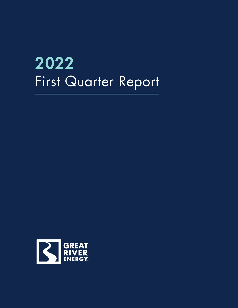# 2022 First Quarter Report

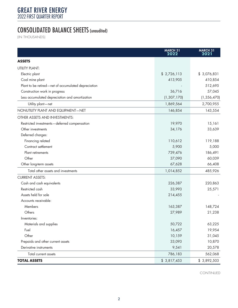## CONSOLIDATED BALANCE SHEETS (unaudited)

(IN THOUSANDS)

|                                                     | <b>MARCH 31</b><br>2022 | <b>MARCH 31</b><br>2021 |
|-----------------------------------------------------|-------------------------|-------------------------|
| <b>ASSETS</b>                                       |                         |                         |
| <b>UTILITY PLANT:</b>                               |                         |                         |
| Electric plant                                      | \$2,726,113             | \$3,076,831             |
| Coal mine plant                                     | 413,905                 | 410,854                 |
| Plant to be retired-net of accumulated depreciation |                         | 512,695                 |
| Construction work in progress                       | 36,716                  | 57,045                  |
| Less accumulated depreciation and amortization      | (1, 307, 170)           | (1, 356, 470)           |
| Utility plant-net                                   | 1,869,564               | 2,700,955               |
| NONUTILITY PLANT AND EQUIPMENT-NET                  | 146,854                 | 143,554                 |
| OTHER ASSETS AND INVESTMENTS:                       |                         |                         |
| Restricted investments-deferred compensation        | 19,970                  | 15,161                  |
| Other investments                                   | 34,176                  | 33,639                  |
| Deferred charges:                                   |                         |                         |
| Financing related                                   | 110,612                 | 119,188                 |
| Contract settlement                                 | 5,900                   | 5,000                   |
| Plant retirements                                   | 739,476                 | 186,491                 |
| Other                                               | 37,090                  | 60,039                  |
| Other long-term assets                              | 67,628                  | 66,408                  |
| Total other assets and investments                  | 1,014,852               | 485,926                 |
| <b>CURRENT ASSETS:</b>                              |                         |                         |
| Cash and cash equivalents                           | 226,387                 | 220,863                 |
| Restricted cash                                     | 33,993                  | 25,571                  |
| Assets held for sale                                | 214,455                 |                         |
| Accounts receivable:                                |                         |                         |
| Members                                             | 163,387                 | 148,724                 |
| Others                                              | 27,989                  | 21,238                  |
| Inventories:                                        |                         |                         |
| Materials and supplies                              | 50,722                  | 63,225                  |
| Fuel                                                | 16,457                  | 19,954                  |
| Other                                               | 10,159                  | 31,045                  |
| Prepaids and other current assets                   | 33,093                  | 10,870                  |
| Derivative instruments                              | 9,541                   | 20,578                  |
| Total current assets                                | 786,183                 | 562,068                 |
| <b>TOTAL ASSETS</b>                                 | \$3,817,453             | \$3,892,503             |

CONTINUED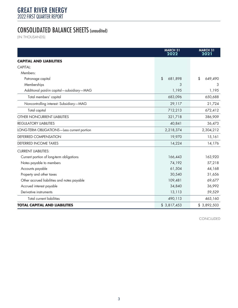## CONSOLIDATED BALANCE SHEETS (unaudited)

(IN THOUSANDS)

|                                             | <b>MARCH 31</b><br>2022 | <b>MARCH 31</b><br>2021 |
|---------------------------------------------|-------------------------|-------------------------|
| <b>CAPITAL AND LIABILITIES</b>              |                         |                         |
| CAPITAL:                                    |                         |                         |
| Members:                                    |                         |                         |
| Patronage capital                           | \$<br>681,898           | \$<br>649,490           |
| Memberships                                 | 3                       | 3                       |
| Additional paid-in capital-subsidiary-MAG   | 1,195                   | 1,195                   |
| Total members' capital                      | 683,096                 | 650,688                 |
| Noncontrolling interest: Subsidiary-MAG     | 29,117                  | 21,724                  |
| Total capital                               | 712,213                 | 672,412                 |
| <b>OTHER NONCURRENT LIABILITIES</b>         | 321,718                 | 386,909                 |
| <b>REGULATORY LIABILITIES</b>               | 40,841                  | 36,473                  |
| LONG-TERM OBLIGATIONS-Less current portion  | 2,218,374               | 2,304,212               |
| DEFERRED COMPENSATION                       | 19,970                  | 15,161                  |
| <b>DEFERRED INCOME TAXES</b>                | 14,224                  | 14,176                  |
| <b>CURRENT LIABILITIES:</b>                 |                         |                         |
| Current portion of long-term obligations    | 166,443                 | 163,920                 |
| Notes payable to members                    | 74,192                  | 57,218                  |
| Accounts payable                            | 61,504                  | 44,168                  |
| Property and other taxes                    | 30,540                  | 31,656                  |
| Other accrued liabilities and notes payable | 109,481                 | 69,677                  |
| Accrued interest payable                    | 34,840                  | 36,992                  |
| Derivative instruments                      | 13,113                  | 59,529                  |
| <b>Total current liabilities</b>            | 490,113                 | 463,160                 |
| <b>TOTAL CAPITAL AND LIABILITIES</b>        | \$3,817,453             | \$3,892,503             |

CONCLUDED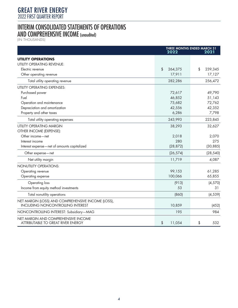#### INTERIM CONSOLIDATED STATEMENTS OF OPERATIONS AND COMPREHENSIVE INCOME (unaudited)

(IN THOUSANDS)

|                                                                                                | <b>THREE MONTHS ENDED MARCH 31</b><br>2022<br>2021 |               |  |
|------------------------------------------------------------------------------------------------|----------------------------------------------------|---------------|--|
| <b>UTILITY OPERATIONS</b>                                                                      |                                                    |               |  |
| <b>UTILITY OPERATING REVENUE:</b>                                                              |                                                    |               |  |
| Electric revenue                                                                               | \$<br>264,375                                      | \$<br>239,345 |  |
| Other operating revenue                                                                        | 17,911                                             | 17,127        |  |
| Total utility operating revenue                                                                | 282,286                                            | 256,472       |  |
| <b>UTILITY OPERATING EXPENSES:</b>                                                             |                                                    |               |  |
| Purchased power                                                                                | 72,617                                             | 49,790        |  |
| Fuel                                                                                           | 46,852                                             | 51,143        |  |
| Operation and maintenance                                                                      | 75,682                                             | 72,762        |  |
| Depreciation and amortization                                                                  | 42,556                                             | 42,352        |  |
| Property and other taxes                                                                       | 6,286                                              | 7,798         |  |
| Total utility operating expenses                                                               | 243,993                                            | 223,845       |  |
| <b>UTILITY OPERATING MARGIN</b>                                                                | 38,293                                             | 32,627        |  |
| OTHER INCOME (EXPENSE):                                                                        |                                                    |               |  |
| Other income-net                                                                               | 2,018                                              | 2,070         |  |
| Interest income                                                                                | 280                                                | 275           |  |
| Interest expense-net of amounts capitalized                                                    | (28, 872)                                          | (30, 885)     |  |
| Other expense-net                                                                              | (26, 574)                                          | (28, 540)     |  |
| Net utility margin                                                                             | 11,719                                             | 4,087         |  |
| NONUTILITY OPERATIONS:                                                                         |                                                    |               |  |
| Operating revenue                                                                              | 99,153                                             | 61,285        |  |
| Operating expense                                                                              | 100,066                                            | 65,855        |  |
| Operating loss                                                                                 | (913)                                              | (4, 570)      |  |
| Income from equity method investments                                                          | 53                                                 | 31            |  |
| Total nonutility operations                                                                    | (860)                                              | (4, 539)      |  |
| NET MARGIN (LOSS) AND COMPREHENSIVE INCOME (LOSS),<br><b>INCLUDING NONCONTROLLING INTEREST</b> | 10,859                                             | (452)         |  |
| NONCONTROLLING INTEREST: Subsidiary-MAG                                                        | 195                                                | 984           |  |
| NET MARGIN AND COMPREHENSIVE INCOME<br>ATTRIBUTABLE TO GREAT RIVER ENERGY                      | \$<br>11,054                                       | \$<br>532     |  |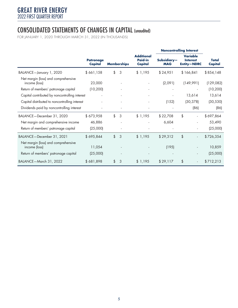#### CONSOLIDATED STATEMENTS OF CHANGES IN CAPITAL (unaudited)

FOR JANUARY 1, 2020 THROUGH MARCH 31, 2022 (IN THOUSANDS)

|                                                                                              |                             | <b>Noncontrolling Interest</b> |                                                |                           |                                                          |                         |
|----------------------------------------------------------------------------------------------|-----------------------------|--------------------------------|------------------------------------------------|---------------------------|----------------------------------------------------------|-------------------------|
|                                                                                              | <b>Patronage</b><br>Capital | <b>Memberships</b>             | <b>Additional</b><br><b>Paid-in</b><br>Capital | Subsidiary-<br><b>MAG</b> | <b>Variable</b><br><b>Interest</b><br><b>Entity-NDRC</b> | <b>Total</b><br>Capital |
| BALANCE-January 1, 2020                                                                      | \$661,158                   | \$<br>$\mathcal{S}$            | \$1,195                                        | \$24,951                  | \$166,841                                                | \$854,148               |
| Net margin (loss) and comprehensive<br>income (loss)                                         | 23,000                      |                                |                                                | (2,091)                   | (149,991)                                                | (129, 082)              |
| Return of members' patronage capital                                                         | (10, 200)                   |                                |                                                |                           |                                                          | (10, 200)               |
| Capital contributed by noncontrolling interest                                               |                             |                                |                                                |                           | 13,614                                                   | 13,614                  |
| Capital distributed to noncontrolling interest                                               |                             | $\overline{\phantom{a}}$       |                                                | (152)                     | (30, 378)                                                | (30, 530)               |
| Dividends paid by noncontrolling interest                                                    |                             | ÷,                             |                                                |                           | (86)                                                     | (86)                    |
| BALANCE-December 31, 2020                                                                    | \$673,958                   | \$<br>3                        | \$1,195                                        | \$22,708                  | \$                                                       | \$697,864               |
| Net margin and comprehensive income                                                          | 46,886                      |                                |                                                | 6,604                     |                                                          | 53,490                  |
| Return of members' patronage capital                                                         | (25,000)                    |                                |                                                |                           |                                                          | (25,000)                |
| BALANCE-December 31, 2021                                                                    | \$695,844                   | \$<br>3                        | \$1,195                                        | \$29,312                  | \$                                                       | \$726,354               |
| Net margin (loss) and comprehensive<br>income (loss)<br>Return of members' patronage capital | 11,054<br>(25,000)          |                                |                                                | (195)                     |                                                          | 10,859<br>(25,000)      |
| BALANCE-March 31, 2022                                                                       | \$681,898                   | \$<br>3                        | \$1,195                                        | \$29,117                  | \$                                                       | \$712,213               |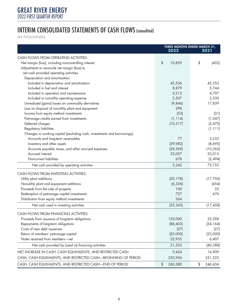## INTERIM CONSOLIDATED STATEMENTS OF CASH FLOWS (unaudited)

(IN THOUSANDS)

|                                                                          |               | THREE MONTHS ENDED MARCH 31, |  |  |
|--------------------------------------------------------------------------|---------------|------------------------------|--|--|
|                                                                          | 2022          | 2021                         |  |  |
| CASH FLOWS FROM OPERATING ACTIVITIES:                                    |               |                              |  |  |
| Net margin (loss), including noncontrolling interest                     | \$<br>10,859  | \$<br>(452)                  |  |  |
| Adjustments to reconcile net margin (loss) to                            |               |                              |  |  |
| net cash provided operating activities:                                  |               |                              |  |  |
| Depreciation and amortization:                                           |               |                              |  |  |
| Included in depreciation and amortization                                | 42,556        | 42,352                       |  |  |
| Included in fuel and interest                                            | 8,879         | 5,744                        |  |  |
| Included in operation and maintenance                                    | 5,212         | 4,707                        |  |  |
| Included in nonutility operating expense                                 | 2,507         | 2,530                        |  |  |
| Unrealized (gains) losses on commodity derivatives                       | (9,846)       | 17,839                       |  |  |
| Loss on disposal of nonutility plant and equipment                       | 298           |                              |  |  |
| Income from equity method investments                                    | (53)          | (31)                         |  |  |
| Patronage credits earned from investments                                | (1, 114)      | (1,047)                      |  |  |
| Deferred charges                                                         | (10, 517)     | (2,470)                      |  |  |
| Regulatory liabilities                                                   |               | (1, 111)                     |  |  |
| Changes in working capital (excluding cash, investments and borrowings): |               |                              |  |  |
| Accounts and long-term receivables                                       | 77            | 3,233                        |  |  |
| Inventory and other assets                                               | (39,982)      | (8,695)                      |  |  |
| Accounts payable, taxes, and other accrued expenses                      | (28, 369)     | (10, 365)                    |  |  |
| Accrued interest                                                         | 22,057        | 23,015                       |  |  |
| Noncurrent liabilities                                                   | 678           | (2, 494)                     |  |  |
| Net cash provided by operating activities                                | 3,242         | 72,755                       |  |  |
| CASH FLOWS FROM INVESTING ACTIVITIES:                                    |               |                              |  |  |
| Utility plant additions                                                  | (20, 178)     | (17,705)                     |  |  |
| Nonutility plant and equipment additions                                 | (6, 356)      | (454)                        |  |  |
| Proceeds from the sale of property                                       | 100           | 25                           |  |  |
| Redemption of patronage capital investments                              | 727           | 676                          |  |  |
| Distribution from equity method investments                              | 364           |                              |  |  |
| Net cash used in investing activities                                    | (25, 343)     | (17, 458)                    |  |  |
| CASH FLOWS FROM FINANCING ACTIVITIES:                                    |               |                              |  |  |
| Proceeds from issuance of long-term obligations                          | 120,000       | 32,396                       |  |  |
| Repayments of long-term obligations                                      | (86, 403)     | (54, 164)                    |  |  |
| Costs of new debt issuances                                              | (27)          | (27)                         |  |  |
| Return of members' patronage capital                                     | (25,000)      | (25,000)                     |  |  |
| Notes received from members-net                                          | 22,955        | 6,407                        |  |  |
| Net cash provided by (used in) financing activities                      | 31,525        | (40, 388)                    |  |  |
| NET INCREASE IN CASH, CASH EQUIVALENTS, AND RESTRICTED CASH              | 9,424         | 14,909                       |  |  |
| CASH, CASH EQUIVALENTS, AND RESTRICTED CASH-BEGINNING OF PERIOD          | 250,956       | 231,525                      |  |  |
| CASH, CASH EQUIVALENTS, AND RESTRICTED CASH-END OF PERIOD                | 260,380<br>\$ | \$<br>246,434                |  |  |
|                                                                          |               |                              |  |  |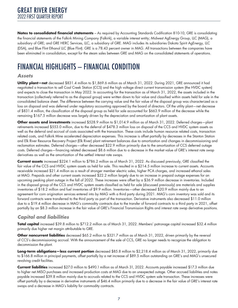**Notes to consolidated financial statements** – As required by Accounting Standards Codification 810-10, GRE is consolidating the financial statements of the Falkirk Mining Company (Falkirk), a variable interest entity; Midwest AgEnergy Group, LLC (MAG), a subsidiary of GRE; and GRE HERC Services, LLC, a subsidiary of GRE. MAG includes its subsidiaries Dakota Spirit AgEnergy, LLC (DSA), and Blue Flint Ethanol LLC (Blue Flint). GRE is a 78.43 percent owner in MAG. All transactions between the companies have been eliminated in consolidation, except for the steam sales between GRE and MAG on the consolidated statements of operations.

# FINANCIAL HIGHLIGHTS – FINANCIAL CONDITION

#### *Assets*

**Utility plant—net** decreased \$831.4 million to \$1,869.6 million as of March 31, 2022. During 2021, GRE announced it had negotiated a transaction to sell Coal Creek Station (CCS) and the high voltage direct current transmission system (the HVDC system) and expects to close the transaction in May 2022. In accounting for the transaction as of March 31, 2022, the assets included in the transaction (collectively referred to as the disposal group) were written down to fair value and classified within assets held for sale in the consolidated balance sheet. The difference between the carrying value and the fair value of the disposal group was characterized as a loss on disposal and was deferred under regulatory accounting approved by the board of directors. Of the utility plant—net decrease of \$831.4 million, the classification of the disposal group as held for sale accounted for \$663.9 million of the decrease while the remaining \$167.5 million decrease was largely driven by the depreciation and amortization of plant assets.

**Other assets and investments** increased \$528.9 million to \$1,014.9 million as of March 31, 2022. Deferred charges—plant retirements increased \$553.0 million, due to the deferral of \$478.3 million loss on disposal of the CCS and HVDC system assets as well as the deferral and accrual of costs associated with the transaction. These costs include human resource related costs, transaction related costs, and Falkirk Mine accelerated depreciation expenses. This increase is offset partially by decreases in the Stanton Station and Elk River Resource Recovery Project (Elk River) plant retirement balances due to amortization and changes in decommissioning and reclamation estimates. Deferred charges—other decreased \$22.9 million primarily due to the amortization of CCS deferred outage costs. Deferred charges—financing related decreased \$8.6 million due to a decrease in the market value of GRE's interest rate swap derivatives as well as the amortization of the settled interest rate swaps.

**Current assets** increased \$224.1 million to \$786.2 million as of March 31, 2022. As discussed previously, GRE classified the fair value of the CCS and HVDC system assets as held for sale. This resulted in a \$214.5 million increase to current assets. Accounts receivable increased \$21.4 million as a result of stronger member electric sales, higher PCA charges, and increased ethanol sales at MAG. Prepaids and other current assets increased \$22.2 million largely due to an increase in prepaid outage expenses for an upcoming peaking plant outage in the fall of 2022. These increases were offset by a \$36.9 million decrease in inventories. Included in the disposal group of the CCS and HVDC system assets classified as held for sale (discussed previously) are materials and supplies inventories of \$18.2 million and fuel inventories of \$9.9 million. Inventories—other decreased \$20.9 million mainly due to an agreement for corn origination services entered into by MAG with a third party during 2021. MAG's corn inventory was sold and its forward contracts were transferred to the third party as part of the transaction. Derivative instruments also decreased \$11.0 million due to a \$19.4 million decrease in MAG's commodity contracts due to the transfer of forward contracts to a third party in 2021, offset partially by an \$8.3 million increase in the fair value of GRE's Financial Transmission Rights and interest rate swap derivative positions.

#### *Capital and liabilities*

**Total capital** increased \$39.8 million to \$712.2 million as of March 31, 2022. Members' patronage capital increased \$32.4 million primarily due higher net margin attributable to GRE.

**Other noncurrent liabilities** decreased \$65.2 million to \$321.7 million as of March 31, 2022, driven primarily by the reversal of CCS's decommissioning accrual. With the announcement of the sale of CCS, GRE no longer needs to recognize the obligation to decommission the plant.

**Long-term obligations—less current portion** decreased \$85.8 million to \$2,218.4 million as of March 31, 2022, primarily due to \$166.8 million in principal payments, offset partially by a net increase of \$89.5 million outstanding on GRE's and MAG's unsecured revolving credit facilities.

**Current liabilities** increased \$27.0 million to \$490.1 million as of March 31, 2022. Accounts payable increased \$17.3 million due to higher net MISO purchases and increased production costs at MAG due to an unexpected outage. Other accrued liabilities and notes payable increased \$39.8 million mainly due to accruals related to the CCS and HVDC system sale transaction. These increases were offset partially by a decrease in derivative instruments of \$46.4 million primarily due to a decrease in the fair value of GRE's interest rate swaps and a decrease in MAG's liability for commodity contracts.